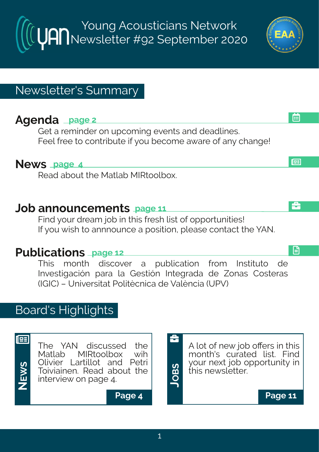Young Acousticians Network Newsletter #92 September 2020

# Newsletter's Summary

# **Agenda page 2**

Get a reminder on upcoming events and deadlines. Feel free to contribute if you become aware of any change!

### **News page 4**

Read about the Matlab MIRtoolbox.

## **Job announcements page 11**

Find your dream job in this fresh list of opportunities! If you wish to annnounce a position, please contact the YAN.

# **Publications page 12**

This month discover a publication from Instituto de Investigación para la Gestión Integrada de Zonas Costeras (IGIC) – Universitat Politècnica de València (UPV)

# Board's Highlights



The YAN discussed the<br>Matlab MIRtoolbox wih Matlab MIRtoolbox Olivier Lartillot and Petri Toiviainen. Read about the interview on page 4.

A lot of new job offers in this month's curated list. Find your next job opportunity in this newsletter.

**Page 4 Page 11**

**JOB**<u>ທ</u>

å





£

画

l⊞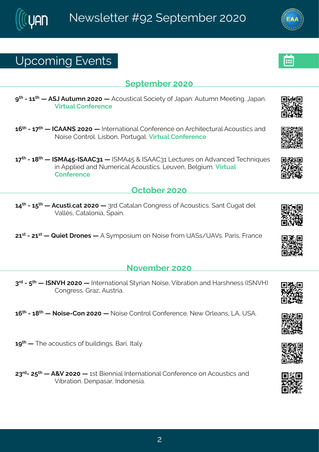## Yt gsq mk#Jzi r xw

#### $($ itxig fiv# $7575$

> # #2#66 # # F ( O F y x y q r # 575 # # F g s y w x ngep # s g mix } # s j # Q et er ? F y x y q r # R i i x m k 3# Q et er 3# Znower#Hsriivirgi#

- 6;  $\frac{1}{2}$  #246  $\frac{1}{2}$  # #HHFFS (#7575 # #Naxi vrexms rep#Hsrjivirgi#sr#Fvglmxigxyvep#Fgsywxnogw#erh# Ssmi#Hsrxvsp&Qmfsr#Usvxykep&Zmxyep#Hsrjivirgi
- 6 <  $\frac{d}{dx}$ #246 =  $\frac{d}{dx}$  #NRF9: 2NFFH86# #NRF9: #+#NFFH86#Qigxy viw#sr#Fhzergih#Xiglrmoyiw# m#Fttpmh#erh#Sygiwneep#Fgsywwnopw&Qiyzir#Gipkmyg&Zmwyep# Hsrii vi rai

#### Taxsfiv#575

69<sup>xl</sup> #246: <sup>xl</sup> # #Fgywxn@qex#7575# #8vh#Hexeper#Hsrkviww#sj#Fgsywxnogw@k erx#Hykex4hip# Zepoî w# Hexeps rme# tem 3#

76WH24776WH2 #Vymx41 vsriw4 #F# }qtswmyq#sr#Ssmwi# ysq#YF(w4YFZw&Uevmw1#Kvergi

#### Sszigfiw#575

 $8^{\text{th}}$ #2#  $\frac{\cancel{4}}{4}$  #NSZM#7575# #Nhaivrexmsrep#(x) wher#Ssmwi 14Zmí vexmsr#erh#Mewlriww#NSZM.# Hsrkviwst ve-#Fywwne3

6;  $\frac{1}{2}$  #2446= $\frac{1}{2}$  # #Ssmvi 2Hsr#7575# #Ssmvi#Hsrxvsp#Hsrjivirgi3#Si{#Typierw#CF1#Y(F3

 $6 >$ <sup> $\frac{1}{4}$ </sup> #  $\frac{1}{1}$  i #egsywordy#si# yndn mkw 36Gevr#Nep 3

78<sup>th</sup> 247: <sup>x</sup> # #F+Z47575# #EW #Gmirrmenthat vrexmsrenth-srijvirgi#sr#Fqsywmontherh# **7 m/vexmsr . 建 i rtewev#hdhsriwme3**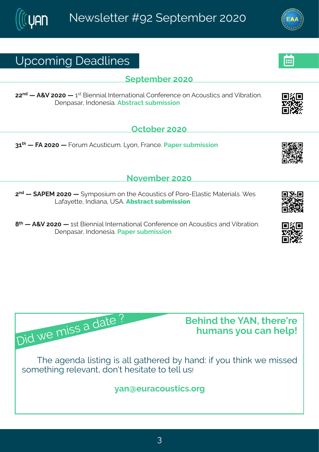# Yt gsq mk# i ehpni w

#### $($ itxig fiv $#$ 575

77<sup>rh</sup># #F+Z#7575# #6<sup>w</sup>#Gmirrmep#Ntxivrexmsrep#Hsrjivirgi#sr#Fgsywxngw#erh#Zmfvexmsr3# I i rt ewev#Nthsriwen3Ff wwegx#wyf q mwnsn



86<sup>d</sup> # #KF#7575# #Kswq #Fgywxngyq 3AQ sr #Kvergi 3Het i v#wyf q mww.nar

#### Sszigfiw#575

7<sup>rh</sup># #FUJR#7575# # } q t swmyq #sr# wii #Fgsyw-mogw#sj#Jsvs2Jpew-mog#Rexivnepw \$# i w# Ceje}ixxi #hthreare#Y(F3#

 $=$ <sup>\*</sup># #F+Z#7575# #6w#Gmirrmep#Ntxivrexmsrep#Hsrjivirgi#sr#Fgsywxmgw#erh#Zmfvexmsr3# I i rt ewev# whsriwes3Net i w#w f q mwnsr#

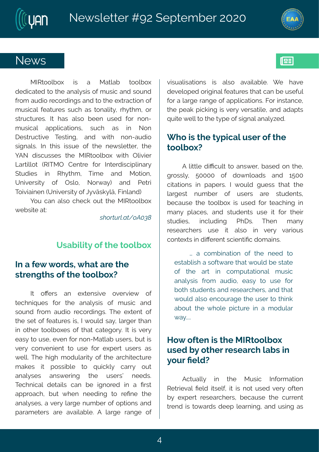## Si { w

RNWsspfs|# mw# e# Rexpef# xsspfs|# hihmoexih#s#vii#erep}www#si#q ywmo#erh#wsyrh# jvsg #eyhnst#igsvhmlkw#erh#vs#vli#lxvegxnsr#sj# q ywnolep#iexy viw#wy ql#ew#xsrepx}1#vl } xl q 1#sw# www.gxyviw3#N#Iew#epws#fiir#ywih#jsv#rsr2 q ywnoep# ettpmoexmsrw# wygl# ew# mn# Ssr# I i www.gxozi#  $X$  wank  $H$  erh# {  $x$  # rsr2eyhrst# whare pw S#Na #xi mw# mww.yi#sj#xi i#ri{ wpixxi v #xi i# IFS#hmngywwiw#xli#RNWsspfs|#{mxl#Tpnznin\#  $Q$ evangus x#-WXKR T # Hir xvi # js v# Nn xi vh magnhpme v} # (xyhmiw# mn# W } xiq # Xmo; i # erh# R s xmsr # Yrmzi wwn $\frac{1}{2}$  # sj# Twps # Ssv{ e}. # erh # Ui xwn# Xsmanorenni r #Y r mai wwrok #sj#Q zÊwo } pÊ#Km per h.

sy#ger#epws#gligo#syx#xli#RNWsspfs|#  $\{$  if won  $#x$ 

 $\cdot$  W  $2f$   $\dot{f}$   $\dot{f}$   $\dot{f}$   $\dot{f}$   $\dot{f}$   $\dot{f}$   $\dot{f}$   $\dot{f}$   $\dot{f}$   $\dot{f}$   $\dot{f}$   $\dot{f}$   $\dot{f}$   $\dot{f}$   $\dot{f}$   $\dot{f}$   $\dot{f}$   $\dot{f}$   $\dot{f}$   $\dot{f}$   $\dot{f}$   $\dot{f}$   $\dot{f}$   $\dot{f}$   $\dot{f}$   $\dot{f}$ 

#### Y wef mon \the i# # i# sspf s|

#### Ni#e#i{# svhw# lex#evi#di# www.irkxlw#sj#di#xsspfs|D

N#  $\frac{1}{2}$  SO w# er# i | xi r wn2i # szi vzmi{ # sj#  $\dot{x}$  gl r muy i w# js w# x i # erep} www# sj# q y w mg# erh# wsyrh#jvsq#eyhms#vigsvhmnkw\$#Xli#i|xirx#sj# xl i #wix#sj#jiexy viw#w\*#A#{syph#we}\*#pewkiw#xler# mmtsxli v#xsspfs|iw#sj#xlex#gexiksv}3#N#mw#ziv}# iew}#s#ywi1#zir#sw#sr2Rexpef#ywiww1#yx#mw# zi v}#gsrzirmin x#xs#ywi#jsv#i|tiw#ywiww#ew# { i pp3#XI i #1 nknl #q shypevnx}#sj#xI i #evgl maigxyvi # q eo iw# mo# t swwmfpj# xs# uymgop}# qew}# syx# erep) wiw# erw{iwmk# xli# ywiwwo¥ riihw3# Xigl rmgeg#hixemon#ger#fi#mkrsvih#mn#e#Pww# et t vseql #f y x#{ l i r # r i i h m k # x s # vi Pr i # x i # ered wiw the thei w the own it was fivily in the state of the cred with the credit was more than  $\mu$ t eveq i xi wu#evi#ezempef pi 3#F#pevki#verki#sj# zmwepmexmsrw# mort epos#ezemeef p  $\frac{2}{3}$  [i # lezi # hizipstih#swhannep#iexy viw#lex#ger#fi#ywijyp# jsv#e#pevki#verki#sj#ettpmoexmsrw3#Ksv#mwwergi# x i # i eo # room k # motzi v } # zi wex noi # er h # e h e t x w # uy mai# ipo#s#vli# $\frac{1}{2}$ ti#sj#wharep#erep}~ih3

#### [ | s#mu#x| i#x}tmogep#y wiv#sj#xli#  $xssfsl D$

F#poxopi#hmRgypo#xs#erw{iv#fewih#sr#xli# k www. #:5555# si# hs{ rpsehw # er h# 6:55# gmexnstru#mm#tetiw@#N#{syph#kyiww#xlex#xli# pewkiwe#rygfiv#sj#ywiww#evi#wayhirxw1# figey wi#xli#xsspfs|#mw#y wih#jsv#xiegImk#mn# q er}#t pegiw#erh#wwyhirxw#ywi#mx#jsw#xlimw# ww.hmiw.# mngpy.hm.k# UII w.\$# XIir# ger}# vi wie val i w# y wi# mo# epws# mn# zi  $v$ } # zewnsy w# gsr xi | xw#n#hmOi vir x#xgmin xmPg#hsq emnw3

 $\alpha$ #e#gsq f mexmsr#sj#xl i#riih#xs# i wef pww #e#wsix{ evi# Nex4{ syph#fi#wwexi# si# xli# evx# m# qsq tyxexmsrep# qywmoq#  $er e\beta$  ww# jvsq # eyhrst#i ew}# $x$ s#ywi# jsw# f sxl #way hir xw#er h#wi wievgl iww#er h#vlex# { syph#epws# rgsyveki#xli#ywiv#xs#xlmno# ef syx#xli#{lspi#tmoxyvi#mn#e#qshypex#  $\{e\}$  3338

### Ms{#sjxir#no#xli#RNWsspfs|# y wi h# } # s x i v#i wi evgl # ef w# n#  $s_v$  with  $p_0$

 $F$ qxyen $\phi$ # m# xii # Rywnq# Nrijsvq exnsr# W xwinzep#Piph#mawipi#ma#mow#rsx#ywih#ziv}#sjxir# f } #i | t i w #vi wi evgl i w #f i gey wi #xl i #gy wi r x # xvir h#wt#s{evhw#hiit#pievrmk#erh#ywnk#ew#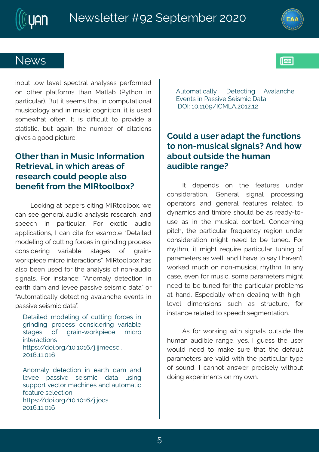# Si { w

 $m t y \# ps$  {#pizip# wtig xvep# erep} wiw# tivjsvq ih # sr#sxliv#tnexisyq w#xler#Rexnef#-U}xlsr#mn# t ewnoy pev. 3KGy x# hatwiig w# x ex# m#gsq ty xexns rep# q ywnospsk }#erh#nn#q ywnon#qskrmansr#ha#nw#ywih# wsqi{lex#sjxir3#N#mw#hmRqypx#xs#tvszmhi#e# wexnwng#fyx#ekenn#xli#ryqfiv#sj#gmexnsrw# knziw#e#kssh#mopxyvi3

#### T x i w# er #n#R y wng#N j s vg exnar # W xwnzep#n# I rgl #evi ew#si# vi wievgl#gsyph#istpi#epws# firiPx#ysq#Ni#RNWsspfs|D

Cssomk#ex#tetiw#gmank#RNWsspfs|1#{i# ger#wii#kirivep#eyhms#erep} wmw#wiwievgl#erh# wtiigl# mn# tewngypew\$# Ksw# i|sxng# eyhnst# et tprogexmsrw.#Affger#gmai#isv#ileg tpi#dixempih# q shipmk#sj#gyxxmk#svqiw#m#kwmhmk#vsqiww# gsrwhiwnk# zewnef  $p$  # wekiw# si# kvem2  $\{$  s vot migi #q mg vs# mxi veg xmsr w $\frac{2}{9}$ R NVsspfs  $|$  # ew # epws#fiir#ywih#|sv#xli#erep}www#sj#rsr2eyhnst# what epw #Ks w# mwwer gi ?#oFrsg ep}#hi xigxnsr#m # iewl#heq#erh#pizii#tewwnzi#wimwqmo#hexeó#sw# For y sq exmole po # hi xi gxnnk # ezeper gl i # zi r xw# m # t eww.zii #wimwa ma#hexeo3

lixemoih#q shipmk#si#qvxxmk#isvaiw#mn# k vnnhm k#t vsgiww#gsrwhiwn k#zevnef pi# wekiw# si# kvem2{ svot migi# g movs# mxi vegxmsr w I xxt w?44 h sn3s vk 465 3656; 4 n3mor i gwgn3 756; 3656;

Frsq ep #hi xi gxmsr #mn#i ev x #heq #er h#  $\dot{p}$  zi i # t ewwnzi # winwq mg# hexe# vwnnk# wytt sw#zigxsw#geglmniw#erh#eyxsgexmog# ji exy vi #wi pi gxmsr I x tw? 44 h s n \$ vk 4 65 \$ 56; 4 n \$ 9 w 8 756; 3656;

Fyxsq exmoenol# lixigarhk# Fzenerali# Jzi r xw#n#Jewwnzi# i mwg rog# exe # TN4653665>4NHRQF37567367

#### Hsyph#e#ywiv#ehet x#d i #yrgxmsrw# xs#sr2q ywngep#wharepxD#Frh#s{# ef svx#svxwhi#N i#vaer# eyhmp #erkiD

N# hitirhw# sr# xli# jiexy viw# yrhiw# gsrwhivexmsr 3# Lirivep# wherep# twsgiwwnnk# stivexs w#erh#kirivep#jiexyviw#vipexih#xs# h req mow ther https of vittwisy pht fittew thieh  $2s2$ ywi#ew#mn#xli#qywmqep#qsrxi|x3#Hsrqivrnnk# t mogl 1#xl i#t evxnogypev#jviuyirg}#vik msr#yrhiv# gsrwhivexmsr#gmklx#riih#xs#fi#xyrih3#Ksv# vl } xl q # mx#q mkl x # vi u y mi # t e v xngy pe v # xy r m k # s j # t eveq i xi wwtewt{ i potter h#N# ezi #xs#we}#N# ezi rð #  $\{$  svoih#q yql#sr#rsr2q ywmqep#M  $\}$ xlq  $3$ nN;#er $\}$ # gew "# zi r#sv#g ywmg"#wsg i#t eveg ixiw#g nkol x# riih#s#fi#xyrih#|sv#xli#tewmgypev#tvsfpiqw# ex#lerh3#Jwtignemy}#{lir#hiepmk#{mxl#lmkl2  $\pi$  is the motion when we have the way as well is well mwer gi#vipexih#s#wtiigl#wikqirxexmsr3

Fw#jsw#{svomnk#{mot#wnkarepw#syxwmhi#xli# l yq er #eyhmfnpi#verki#}iw3#N#kyiww#xli#ywiv# { syph#riih#xs#q eoi#wyvi#xlex#xli#hijeypx# t eveq i xi wu#evi#zepmh#{ mxl #xl i #t evangy pev#x}t i # sj#wsyrh3#N#gerrsx#erw{ iv#tvignwip}#{ nxlsyx# hsmk# | tivmg ir xw#sr#q }#s{r3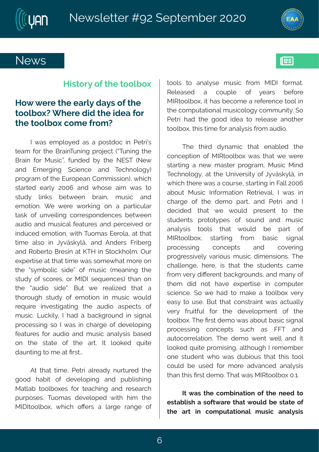



### **News**

#### **History of the toolbox**

### **How were the early days of the toolbox? Where did the idea for the toolbox come from?**

I was employed as a postdoc in Petri's team for the BrainTuning project ("Tuning the Brain for Music", funded by the NEST (New and Emerging Science and Technology) program of the European Commission), which started early 2006 and whose aim was to study links between brain, music and emotion. We were working on a particular task of unveiling correspondences between audio and musical features and perceived or induced emotion, with Tuomas Eerola, at that time also in Jyväskylä, and Anders Friberg and Roberto Bresin at KTH in Stockholm. Our expertise at that time was somewhat more on the "symbolic side" of music (meaning the study of scores, or MIDI sequences) than on the "audio side". But we realized that a thorough study of emotion in music would require investigating the audio aspects of music. Luckily, I had a background in signal processing so I was in charge of developing features for audio and music analysis based on the state of the art. It looked quite daunting to me at first…

At that time, Petri already nurtured the good habit of developing and publishing Matlab toolboxes for teaching and research purposes. Tuomas developed with him the MIDItoolbox, which offers a large range of tools to analyse music from MIDI format. Released a couple of years before MIRtoolbox, it has become a reference tool in the computational musicology community. So Petri had the good idea to release another toolbox, this time for analysis from audio.

The third dynamic that enabled the conception of MIRtoolbox was that we were starting a new master program, Music Mind Technology, at the University of Jyväskylä, in which there was a course, starting in Fall 2006 about Music Information Retrieval. I was in charge of the demo part, and Petri and I decided that we would present to the students prototypes of sound and music analysis tools that would be part of MIRtoolbox, starting from basic signal processing concepts and covering progressively various music dimensions. The challenge, here, is that the students came from very different backgrounds, and many of them did not have expertise in computer science. So we had to make a toolbox very easy to use. But that constraint was actually very fruitful for the development of the toolbox. The first demo was about basic signal processing concepts such as FFT and autocorrelation. The demo went well and it looked quite promising, although I remember one student who was dubious that this tool could be used for more advanced analysis than this first demo. That was MIRtoolbox 0.1.

**It was the combination of the need to establish a software that would be state of the art in computational music analysis**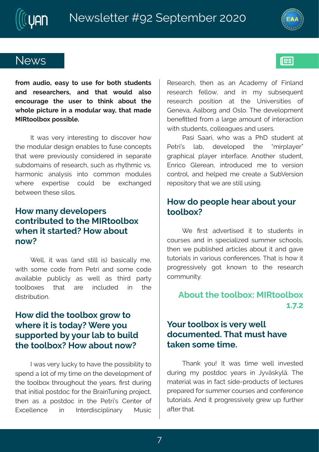



## **News**

**from audio, easy to use for both students and researchers, and that would also encourage the user to think about the whole picture in a modular way, that made MIRtoolbox possible.**

It was very interesting to discover how the modular design enables to fuse concepts that were previously considered in separate subdomains of research, such as rhythmic vs. harmonic analysis into common modules where expertise could be exchanged between these silos.

### **How many developers contributed to the MIRtoolbox when it started? How about now?**

Well, it was (and still is) basically me, with some code from Petri and some code available publicly as well as third party toolboxes that are included in the distribution.

#### **How did the toolbox grow to where it is today? Were you supported by your lab to build the toolbox? How about now?**

I was very lucky to have the possibility to spend a lot of my time on the development of the toolbox throughout the years, first during that initial postdoc for the BrainTuning project, then as a postdoc in the Petri's Center of Excellence in Interdisciplinary Music Research, then as an Academy of Finland research fellow, and in my subsequent research position at the Universities of Geneva, Aalborg and Oslo. The development benefitted from a large amount of interaction with students, colleagues and users.

Pasi Saari, who was a PhD student at Petri's lab, developed the "mirplayer" graphical player interface. Another student, Enrico Glerean, introduced me to version control, and helped me create a SubVersion repository that we are still using.

#### **How do people hear about your toolbox?**

We first advertised it to students in courses and in specialized summer schools, then we published articles about it and gave tutorials in various conferences. That is how it progressively got known to the research community.

### **About the toolbox: MIRtoolbox 1.7.2**

#### **Your toolbox is very well documented. That must have taken some time.**

Thank you! It was time well invested during my postdoc years in Jyväskylä. The material was in fact side-products of lectures prepared for summer courses and conference tutorials. And it progressively grew up further after that.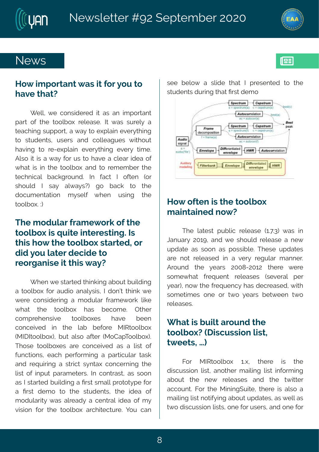



## **News**

#### **How important was it for you to have that?**

Well, we considered it as an important part of the toolbox release. It was surely a teaching support, a way to explain everything to students, users and colleagues without having to re-explain everything every time. Also it is a way for us to have a clear idea of what is in the toolbox and to remember the technical background. In fact I often (or should I say always?) go back to the documentation myself when using the toolbox. :)

### **The modular framework of the toolbox is quite interesting. Is this how the toolbox started, or did you later decide to reorganise it this way?**

When we started thinking about building a toolbox for audio analysis, I don't think we were considering a modular framework like what the toolbox has become. Other comprehensive toolboxes have been conceived in the lab before MIRtoolbox (MIDItoolbox), but also after (MoCapToolbox). Those toolboxes are conceived as a list of functions, each performing a particular task and requiring a strict syntax concerning the list of input parameters. In contrast, as soon as I started building a first small prototype for a first demo to the students, the idea of modularity was already a central idea of my vision for the toolbox architecture. You can

see below a slide that I presented to the students during that first demo



### **How often is the toolbox maintained now?**

The latest public release (1.7.3) was in January 2019, and we should release a new update as soon as possible. These updates are not released in a very regular manner. Around the years 2008-2012 there were somewhat frequent releases (several per year), now the frequency has decreased, with sometimes one or two years between two releases.

### **What is built around the toolbox? (Discussion list, tweets, …)**

For MIRtoolbox 1.x, there is the discussion list, another mailing list informing about the new releases and the twitter account. For the MiningSuite, there is also a mailing list notifying about updates, as well as two discussion lists, one for users, and one for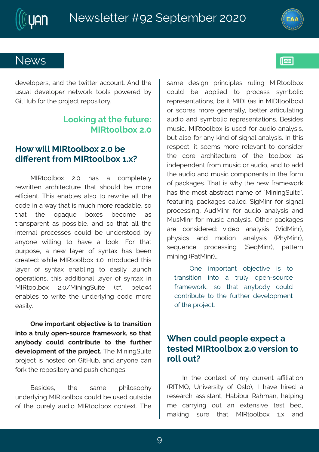

## **News**

developers, and the twitter account. And the usual developer network tools powered by GitHub for the project repository.

### **Looking at the future: MIRtoolbox 2.0**

### **How will MIRtoolbox 2.0 be different from MIRtoolbox 1.x?**

MIRtoolbox 2.0 has a completely rewritten architecture that should be more efficient. This enables also to rewrite all the code in a way that is much more readable, so that the opaque boxes become as transparent as possible, and so that all the internal processes could be understood by anyone willing to have a look. For that purpose, a new layer of syntax has been created: while MIRtoolbox 1.0 introduced this layer of syntax enabling to easily launch operations, this additional layer of syntax in MIRtoolbox 2.0/MiningSuite (cf. below) enables to write the underlying code more easily.

**One important objective is to transition into a truly open-source framework, so that anybody could contribute to the further development of the project.** The MiningSuite project is hosted on GitHub, and anyone can fork the repository and push changes.

Besides, the same philosophy underlying MIRtoolbox could be used outside of the purely audio MIRtoolbox context. The same design principles ruling MIRtoolbox could be applied to process symbolic representations, be it MIDI (as in MIDItoolbox) or scores more generally, better articulating audio and symbolic representations. Besides music, MIRtoolbox is used for audio analysis, but also for any kind of signal analysis. In this respect, it seems more relevant to consider the core architecture of the toolbox as independent from music or audio, and to add the audio and music components in the form of packages. That is why the new framework has the most abstract name of "MiningSuite", featuring packages called SigMinr for signal processing, AudMinr for audio analysis and MusMinr for music analysis. Other packages are considered: video analysis (VidMinr), physics and motion analysis (PhyMinr), sequence processing (SeqMinr), pattern mining (PatMinr)…

One important objective is to transition into a truly open-source framework, so that anybody could contribute to the further development of the project.

### **When could people expect a tested MIRtoolbox 2.0 version to roll out?**

In the context of my current affiliation (RITMO, University of Oslo), I have hired a research assistant, Habibur Rahman, helping me carrying out an extensive test bed, making sure that MIRtoolbox 1.x and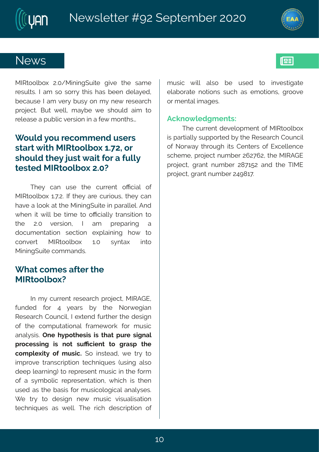

 $\|$ es

## **News**

MIRtoolbox 2.0/MiningSuite give the same results. I am so sorry this has been delayed, because I am very busy on my new research project. But well, maybe we should aim to release a public version in a few months…

### **Would you recommend users start with MIRtoolbox 1.72, or should they just wait for a fully tested MIRtoolbox 2.0?**

They can use the current official of MIRtoolbox 1.7.2. If they are curious, they can have a look at the MiningSuite in parallel. And when it will be time to officially transition to the 2.0 version, I am preparing a documentation section explaining how to convert MIRtoolbox 1.0 syntax into MiningSuite commands.

#### **What comes after the MIRtoolbox?**

In my current research project, MIRAGE, funded for 4 years by the Norwegian Research Council, I extend further the design of the computational framework for music analysis. **One hypothesis is that pure signal processing is not sufficient to grasp the complexity of music.** So instead, we try to improve transcription techniques (using also deep learning) to represent music in the form of a symbolic representation, which is then used as the basis for musicological analyses. We try to design new music visualisation techniques as well. The rich description of music will also be used to investigate elaborate notions such as emotions, groove or mental images.

#### **Acknowledgments:**

The current development of MIRtoolbox is partially supported by the Research Council of Norway through its Centers of Excellence scheme, project number 262762, the MIRAGE project, grant number 287152 and the TIME project, grant number 249817.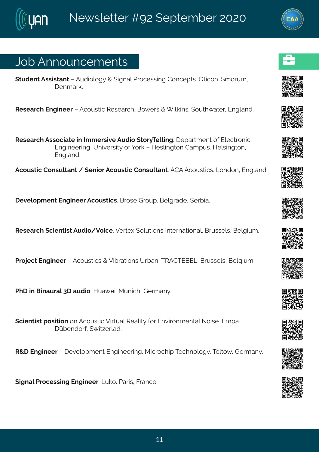# Osf#Frrsyrgiqirxw

(xyhirx#Fww.mw.erx##Fyhnsqpsk}#+#mkrep#Uvsqiww.m.k#Hsrqitxw.89Txmogsr3#qsw.q1# lira evo3  $#$  $#$ Wiwievgl#Jrkmiiw##Fgsywxmg#Wiwievgl3KGs{iww##f mpomnw3Ksyxl{exiv#Jrkperh3  $#$  $#$ Wiwievgl#Fwwsgnexi#n#Nqqiwwnzi#Fyhns#xsv}Xippnk3#itewqirx#sj#Jpigxvsrng# Jrkmiiwnk1? Yrnziwno) #sj#svo ##Miwpnkxsr#Heqtyw3AMipwnkxsr# Jrkperh3 ## Fgsyworg#Hsrwypxerx#4#tirmsv#Fgsyworg#Hsrwypxerx3#FHF#Fgsyworgw3#Csrhsr#Urkperh3  $#$  $#$ lizipstqirx#lrkmiiv#Fgsywxngw3#Gwswi#Lwsyt3#Gipkwehi1#(ivfne3  $#$  $#$ W wievgl #gmirxmw#Fyhns4Zsmgi 32Ziwi | #spyxnsrw#Nxiwrexnsrep3&Gwwwipw#Gipkmyg 3  $#$  $#$ Uvsnigx#lrkmiiw##Fgsywwogw##Zmfvexmsrw#Yvfer3XWFHXJGJQ36Gwwwipw#Gipkmyg3  $#$ UII #m#Gmeyvep#8I #eyhnso3Mye{in3RyrngI#Livqer}3  $#$  $#$ (gmir xmw.#tswmxmsr#sr#Fgsywxmgn#Zmxyep#Wiepno)#sv#Jrzmwsrqirxep#Ssmwi3#Jqte3# l ãfirhsvj# { ma-ivpeh3 W+I#Jrkm iiví#iizipstq irx#Jrkm iivm k3Rmgvsglmt#Xiglrspsk}3Xxips{1#Livqer}3  $#$  $#$ (rkrep#Jvsgiwwnk#Jrkmiiv3AQyos3#Jevnw#Kvergi3